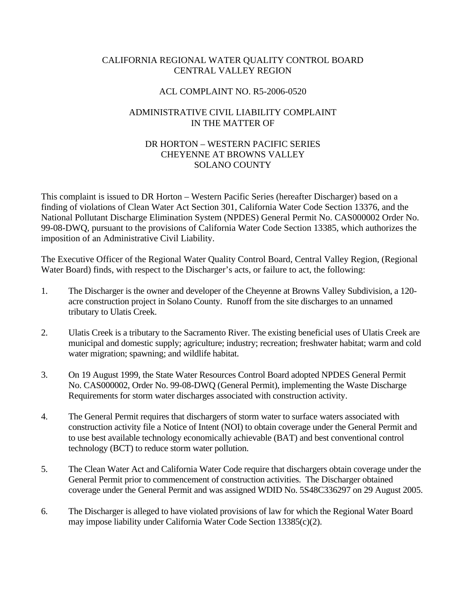## CALIFORNIA REGIONAL WATER QUALITY CONTROL BOARD CENTRAL VALLEY REGION

## ACL COMPLAINT NO. R5-2006-0520

## ADMINISTRATIVE CIVIL LIABILITY COMPLAINT IN THE MATTER OF

# DR HORTON – WESTERN PACIFIC SERIES CHEYENNE AT BROWNS VALLEY SOLANO COUNTY

This complaint is issued to DR Horton – Western Pacific Series (hereafter Discharger) based on a finding of violations of Clean Water Act Section 301, California Water Code Section 13376, and the National Pollutant Discharge Elimination System (NPDES) General Permit No. CAS000002 Order No. 99-08-DWQ, pursuant to the provisions of California Water Code Section 13385, which authorizes the imposition of an Administrative Civil Liability.

The Executive Officer of the Regional Water Quality Control Board, Central Valley Region, (Regional Water Board) finds, with respect to the Discharger's acts, or failure to act, the following:

- 1. The Discharger is the owner and developer of the Cheyenne at Browns Valley Subdivision, a 120 acre construction project in Solano County. Runoff from the site discharges to an unnamed tributary to Ulatis Creek.
- 2. Ulatis Creek is a tributary to the Sacramento River. The existing beneficial uses of Ulatis Creek are municipal and domestic supply; agriculture; industry; recreation; freshwater habitat; warm and cold water migration; spawning; and wildlife habitat.
- 3. On 19 August 1999, the State Water Resources Control Board adopted NPDES General Permit No. CAS000002, Order No. 99-08-DWQ (General Permit), implementing the Waste Discharge Requirements for storm water discharges associated with construction activity.
- 4. The General Permit requires that dischargers of storm water to surface waters associated with construction activity file a Notice of Intent (NOI) to obtain coverage under the General Permit and to use best available technology economically achievable (BAT) and best conventional control technology (BCT) to reduce storm water pollution.
- 5. The Clean Water Act and California Water Code require that dischargers obtain coverage under the General Permit prior to commencement of construction activities. The Discharger obtained coverage under the General Permit and was assigned WDID No. 5S48C336297 on 29 August 2005.
- 6. The Discharger is alleged to have violated provisions of law for which the Regional Water Board may impose liability under California Water Code Section 13385(c)(2).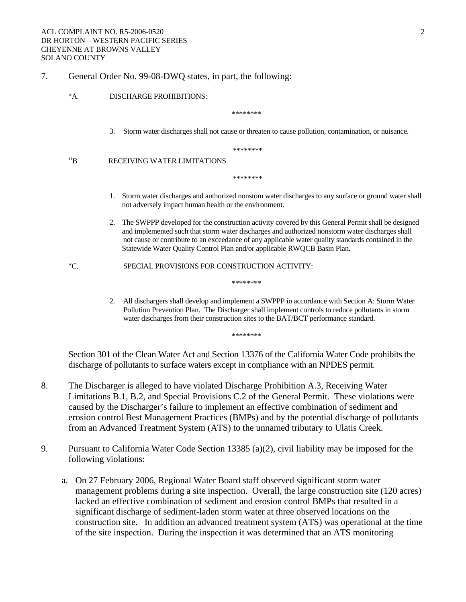### 7. General Order No. 99-08-DWQ states, in part, the following:

#### "A. DISCHARGE PROHIBITIONS:

\*\*\*\*\*\*\*\*

3. Storm water discharges shall not cause or threaten to cause pollution, contamination, or nuisance.

\*\*\*\*\*\*\*\*

"B RECEIVING WATER LIMITATIONS

\*\*\*\*\*\*\*\*\*

- 1. Storm water discharges and authorized nonstom water discharges to any surface or ground water shall not adversely impact human health or the environment.
- 2. The SWPPP developed for the construction activity covered by this General Permit shall be designed and implemented such that storm water discharges and authorized nonstorm water discharges shall not cause or contribute to an exceedance of any applicable water quality standards contained in the Statewide Water Quality Control Plan and/or applicable RWQCB Basin Plan.

"C. SPECIAL PROVISIONS FOR CONSTRUCTION ACTIVITY:

\*\*\*\*\*\*\*\*

2. All dischargers shall develop and implement a SWPPP in accordance with Section A: Storm Water Pollution Prevention Plan. The Discharger shall implement controls to reduce pollutants in storm water discharges from their construction sites to the BAT/BCT performance standard.

\*\*\*\*\*\*\*\*

Section 301 of the Clean Water Act and Section 13376 of the California Water Code prohibits the discharge of pollutants to surface waters except in compliance with an NPDES permit.

- 8. The Discharger is alleged to have violated Discharge Prohibition A.3, Receiving Water Limitations B.1, B.2, and Special Provisions C.2 of the General Permit. These violations were caused by the Discharger's failure to implement an effective combination of sediment and erosion control Best Management Practices (BMPs) and by the potential discharge of pollutants from an Advanced Treatment System (ATS) to the unnamed tributary to Ulatis Creek.
- 9. Pursuant to California Water Code Section 13385 (a)(2), civil liability may be imposed for the following violations:
	- a. On 27 February 2006, Regional Water Board staff observed significant storm water management problems during a site inspection. Overall, the large construction site (120 acres) lacked an effective combination of sediment and erosion control BMPs that resulted in a significant discharge of sediment-laden storm water at three observed locations on the construction site. In addition an advanced treatment system (ATS) was operational at the time of the site inspection. During the inspection it was determined that an ATS monitoring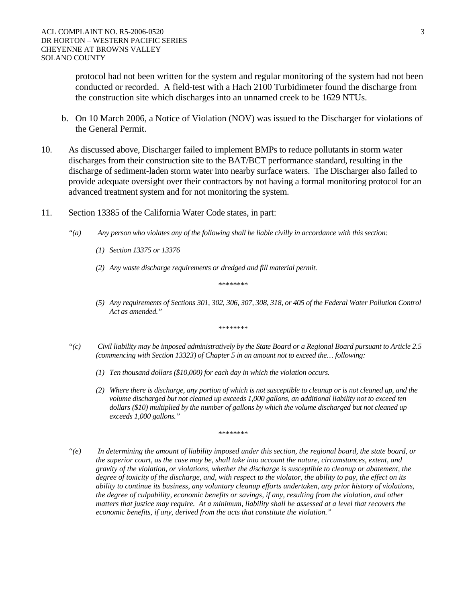protocol had not been written for the system and regular monitoring of the system had not been conducted or recorded. A field-test with a Hach 2100 Turbidimeter found the discharge from the construction site which discharges into an unnamed creek to be 1629 NTUs.

- b. On 10 March 2006, a Notice of Violation (NOV) was issued to the Discharger for violations of the General Permit.
- 10. As discussed above, Discharger failed to implement BMPs to reduce pollutants in storm water discharges from their construction site to the BAT/BCT performance standard, resulting in the discharge of sediment-laden storm water into nearby surface waters. The Discharger also failed to provide adequate oversight over their contractors by not having a formal monitoring protocol for an advanced treatment system and for not monitoring the system.
- 11. Section 13385 of the California Water Code states, in part:
	- *"(a) Any person who violates any of the following shall be liable civilly in accordance with this section:* 
		- *(1) Section 13375 or 13376*
		- *(2) Any waste discharge requirements or dredged and fill material permit.*

*\*\*\*\*\*\*\*\** 

*(5) Any requirements of Sections 301, 302, 306, 307, 308, 318, or 405 of the Federal Water Pollution Control Act as amended."* 

*\*\*\*\*\*\*\*\** 

- *"(c) Civil liability may be imposed administratively by the State Board or a Regional Board pursuant to Article 2.5 (commencing with Section 13323) of Chapter 5 in an amount not to exceed the… following:* 
	- *(1) Ten thousand dollars (\$10,000) for each day in which the violation occurs.*
	- *(2) Where there is discharge, any portion of which is not susceptible to cleanup or is not cleaned up, and the volume discharged but not cleaned up exceeds 1,000 gallons, an additional liability not to exceed ten dollars (\$10) multiplied by the number of gallons by which the volume discharged but not cleaned up exceeds 1,000 gallons."*

*\*\*\*\*\*\*\*\** 

*"(e) In determining the amount of liability imposed under this section, the regional board, the state board, or the superior court, as the case may be, shall take into account the nature, circumstances, extent, and gravity of the violation, or violations, whether the discharge is susceptible to cleanup or abatement, the degree of toxicity of the discharge, and, with respect to the violator, the ability to pay, the effect on its ability to continue its business, any voluntary cleanup efforts undertaken, any prior history of violations, the degree of culpability, economic benefits or savings, if any, resulting from the violation, and other matters that justice may require. At a minimum, liability shall be assessed at a level that recovers the economic benefits, if any, derived from the acts that constitute the violation."*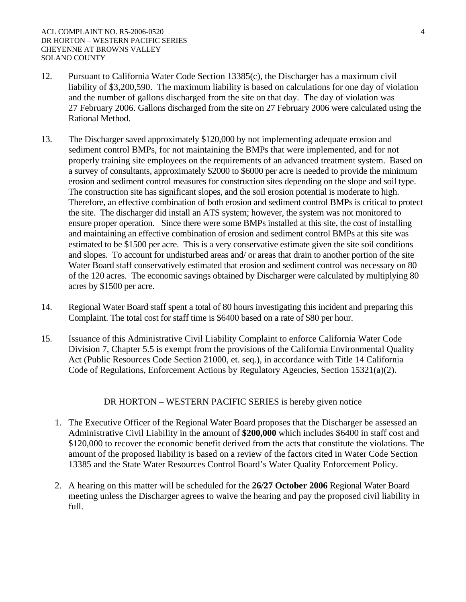- 12. Pursuant to California Water Code Section 13385(c), the Discharger has a maximum civil liability of \$3,200,590. The maximum liability is based on calculations for one day of violation and the number of gallons discharged from the site on that day. The day of violation was 27 February 2006. Gallons discharged from the site on 27 February 2006 were calculated using the Rational Method.
- 13. The Discharger saved approximately \$120,000 by not implementing adequate erosion and sediment control BMPs, for not maintaining the BMPs that were implemented, and for not properly training site employees on the requirements of an advanced treatment system. Based on a survey of consultants, approximately \$2000 to \$6000 per acre is needed to provide the minimum erosion and sediment control measures for construction sites depending on the slope and soil type. The construction site has significant slopes, and the soil erosion potential is moderate to high. Therefore, an effective combination of both erosion and sediment control BMPs is critical to protect the site. The discharger did install an ATS system; however, the system was not monitored to ensure proper operation. Since there were some BMPs installed at this site, the cost of installing and maintaining an effective combination of erosion and sediment control BMPs at this site was estimated to be \$1500 per acre. This is a very conservative estimate given the site soil conditions and slopes. To account for undisturbed areas and/ or areas that drain to another portion of the site Water Board staff conservatively estimated that erosion and sediment control was necessary on 80 of the 120 acres. The economic savings obtained by Discharger were calculated by multiplying 80 acres by \$1500 per acre.
- 14. Regional Water Board staff spent a total of 80 hours investigating this incident and preparing this Complaint. The total cost for staff time is \$6400 based on a rate of \$80 per hour.
- 15. Issuance of this Administrative Civil Liability Complaint to enforce California Water Code Division 7, Chapter 5.5 is exempt from the provisions of the California Environmental Quality Act (Public Resources Code Section 21000, et. seq.), in accordance with Title 14 California Code of Regulations, Enforcement Actions by Regulatory Agencies, Section 15321(a)(2).

DR HORTON – WESTERN PACIFIC SERIES is hereby given notice

- 1. The Executive Officer of the Regional Water Board proposes that the Discharger be assessed an Administrative Civil Liability in the amount of **\$200,000** which includes \$6400 in staff cost and \$120,000 to recover the economic benefit derived from the acts that constitute the violations. The amount of the proposed liability is based on a review of the factors cited in Water Code Section 13385 and the State Water Resources Control Board's Water Quality Enforcement Policy.
- 2. A hearing on this matter will be scheduled for the **26/27 October 2006** Regional Water Board meeting unless the Discharger agrees to waive the hearing and pay the proposed civil liability in full.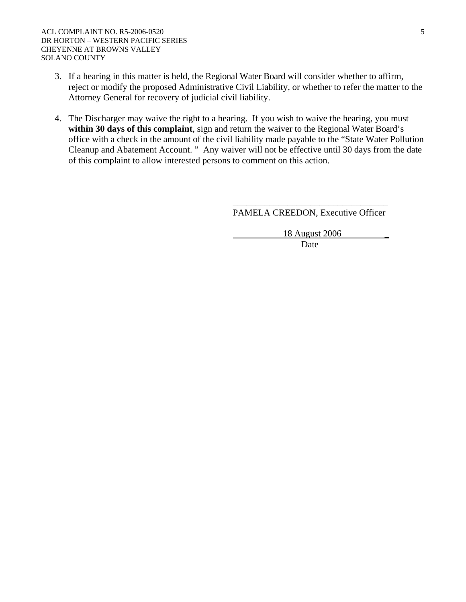- 3. If a hearing in this matter is held, the Regional Water Board will consider whether to affirm, reject or modify the proposed Administrative Civil Liability, or whether to refer the matter to the Attorney General for recovery of judicial civil liability.
- 4. The Discharger may waive the right to a hearing. If you wish to waive the hearing, you must **within 30 days of this complaint**, sign and return the waiver to the Regional Water Board's office with a check in the amount of the civil liability made payable to the "State Water Pollution Cleanup and Abatement Account. " Any waiver will not be effective until 30 days from the date of this complaint to allow interested persons to comment on this action.

 $\overline{\phantom{a}}$  , which is a set of the contract of the contract of the contract of the contract of the contract of the contract of the contract of the contract of the contract of the contract of the contract of the contract

PAMELA CREEDON, Executive Officer

 18 August 2006 \_ **Date**